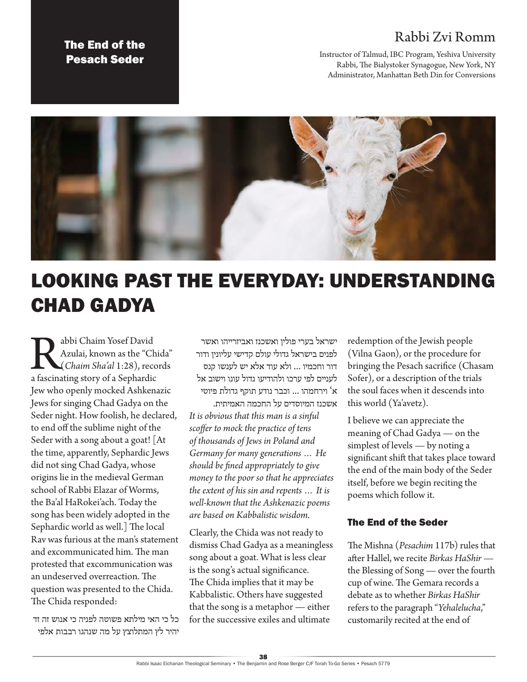## Rabbi Zvi Romm

The End of the Pesach Seder

Instructor of Talmud, IBC Program, Yeshiva University Rabbi, The Bialystoker Synagogue, New York, NY Administrator, Manhattan Beth Din for Conversions



## LOOKING PAST THE EVERYDAY: UNDERSTANDING CHAD GADYA

**Rabbi Chaim Yosef David<br>Azulai, known as the "Chi<br>***Chaim Sha'al* **1:28), reco<br>a fascinating story of a Sephardic** Azulai, known as the "Chida" (*Chaim Sha'al* 1:28), records Jew who openly mocked Ashkenazic Jews for singing Chad Gadya on the Seder night. How foolish, he declared, to end off the sublime night of the Seder with a song about a goat! [At the time, apparently, Sephardic Jews did not sing Chad Gadya, whose origins lie in the medieval German school of Rabbi Elazar of Worms, the Ba'al HaRokei'ach. Today the song has been widely adopted in the Sephardic world as well.] The local Rav was furious at the man's statement and excommunicated him. The man protested that excommunication was an undeserved overreaction. The question was presented to the Chida. The Chida responded:

כל כי האי מילתא פשוטה לפניה כי אנוש זה זד יהיר לץ המתלוצץ על מה שנהגו רבבות אלפי

ישראל בערי פולין ואשכנז ואביזרייהו ואשר לפנים בישראל גדולי עולם קדישי עליונין ודור דור וחכמיו ... ולא עוד אלא יש לענשו קנס לעניים לפי ערכו ולהודיעו גדול עונו וישוב אל א' וירחמהו ... וכבר נודע תוקף גדולת פיוטי אשכנז המיוסדים על החכמה האמיתית.

*It is obvious that this man is a sinful scoffer to mock the practice of tens of thousands of Jews in Poland and Germany for many generations … He should be fined appropriately to give money to the poor so that he appreciates the extent of his sin and repents … It is well-known that the Ashkenazic poems are based on Kabbalistic wisdom.*

Clearly, the Chida was not ready to dismiss Chad Gadya as a meaningless song about a goat. What is less clear is the song's actual significance. The Chida implies that it may be Kabbalistic. Others have suggested that the song is a metaphor — either for the successive exiles and ultimate

redemption of the Jewish people (Vilna Gaon), or the procedure for bringing the Pesach sacrifice (Chasam Sofer), or a description of the trials the soul faces when it descends into this world (Ya'avetz).

I believe we can appreciate the meaning of Chad Gadya — on the simplest of levels — by noting a significant shift that takes place toward the end of the main body of the Seder itself, before we begin reciting the poems which follow it.

## The End of the Seder

The Mishna (*Pesachim* 117b) rules that after Hallel, we recite *Birkas HaShir* the Blessing of Song — over the fourth cup of wine. The Gemara records a debate as to whether *Birkas HaShir* refers to the paragraph "*Yehalelucha*," customarily recited at the end of